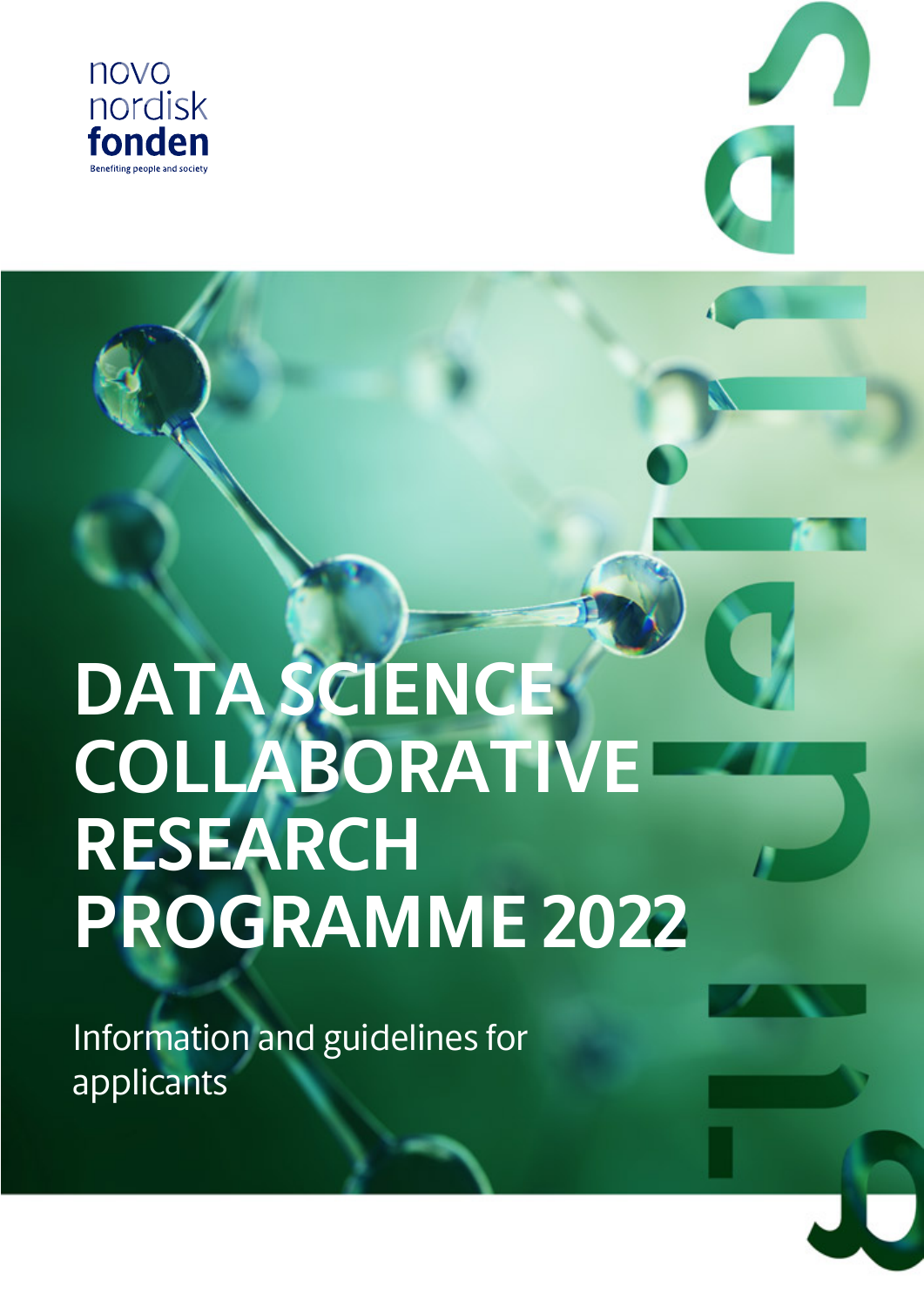



# **DATA SCIENCE COLLABORATIVE RESEARCH PROGRAMME 2022**

Information and guidelines for applicants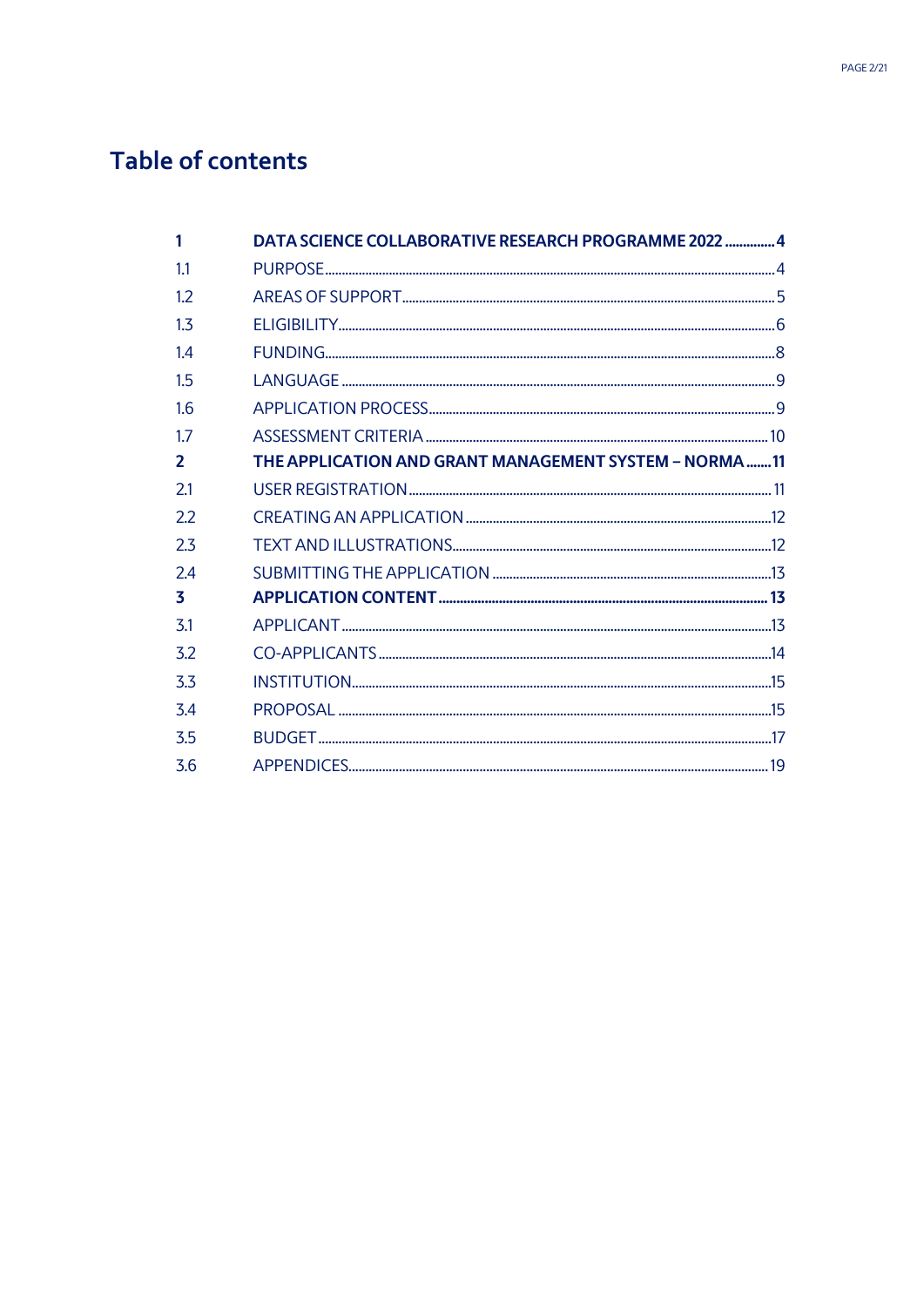# Table of contents

|                | DATA SCIENCE COLLABORATIVE RESEARCH PROGRAMME 2022  4 |  |
|----------------|-------------------------------------------------------|--|
| 1.1            |                                                       |  |
| 12             |                                                       |  |
| 1 <sub>3</sub> |                                                       |  |
| 14             |                                                       |  |
| 1.5            |                                                       |  |
| 1.6            |                                                       |  |
| 17             |                                                       |  |
| $\mathbf{2}$   | THE APPLICATION AND GRANT MANAGEMENT SYSTEM - NORMA11 |  |
| 2.1            |                                                       |  |
| 2.2            |                                                       |  |
| 2.3            |                                                       |  |
| 2.4            |                                                       |  |
| 3              |                                                       |  |
| 3.1            |                                                       |  |
| 3.2            |                                                       |  |
| 3.3            |                                                       |  |
| 3.4            |                                                       |  |
| 3.5            |                                                       |  |
| 3.6            |                                                       |  |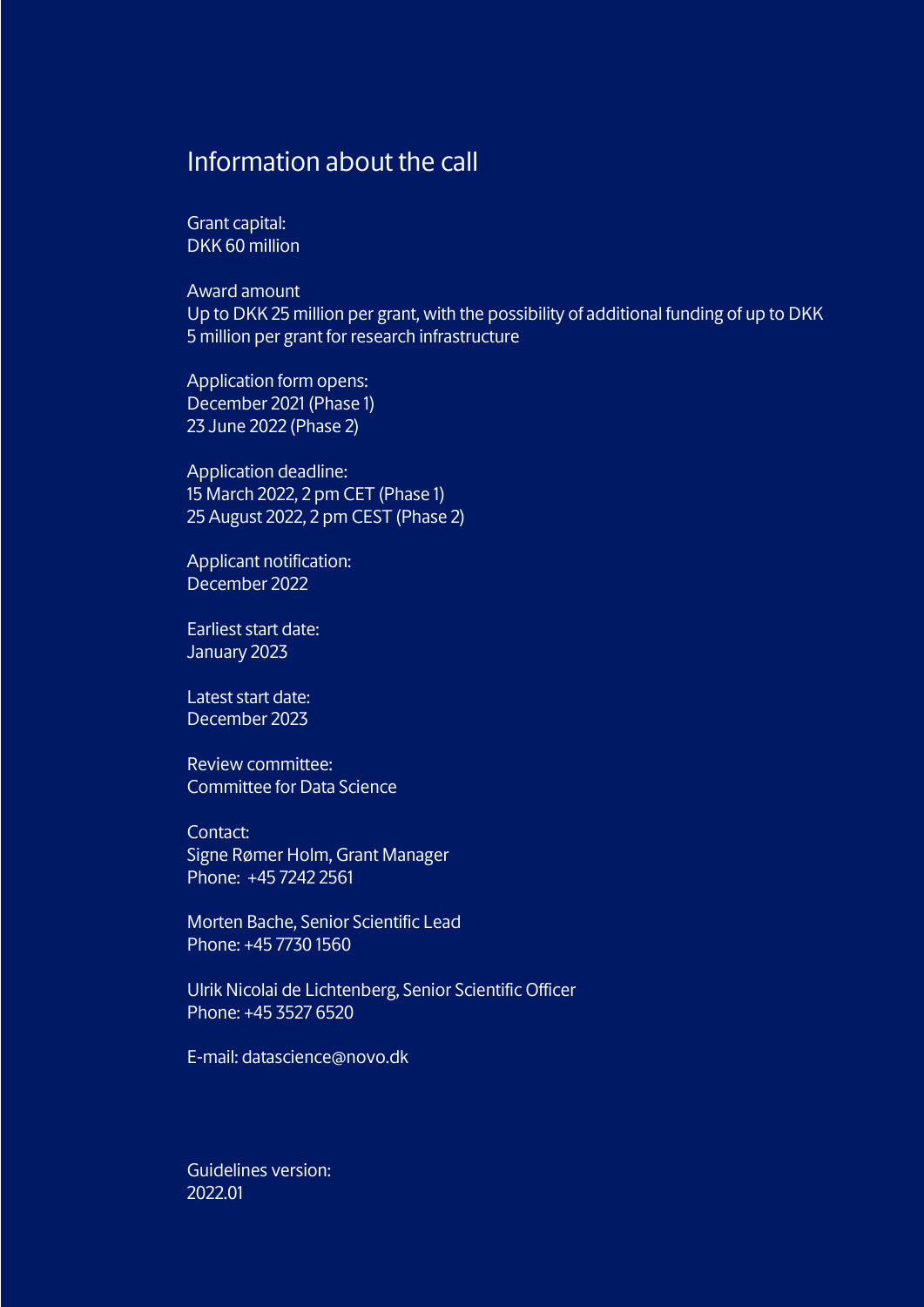## Information about the call

Grant capital: DKK 60 million

Award amount Up to DKK 25 million per grant, with the possibility of additional funding of up to DKK 5 million per grant for research infrastructure

Application form opens: December 2021 (Phase 1) 23 June 2022 (Phase 2)

Application deadline: 15 March 2022, 2 pm CET (Phase 1) 25 August 2022, 2 pm CEST (Phase 2)

Applicant notification: December 2022

Earliest start date: January 2023

Latest start date: December 2023

Review committee: Committee for Data Science

Contact: Signe Rømer Holm, Grant Manager Phone: +45 7242 2561

Morten Bache, Senior Scientific Lead Phone: +45 7730 1560

Ulrik Nicolai de Lichtenberg, Senior Scientific Officer Phone: +45 3527 6520

E-mail: datascience@novo.dk

Guidelines version: 2022.01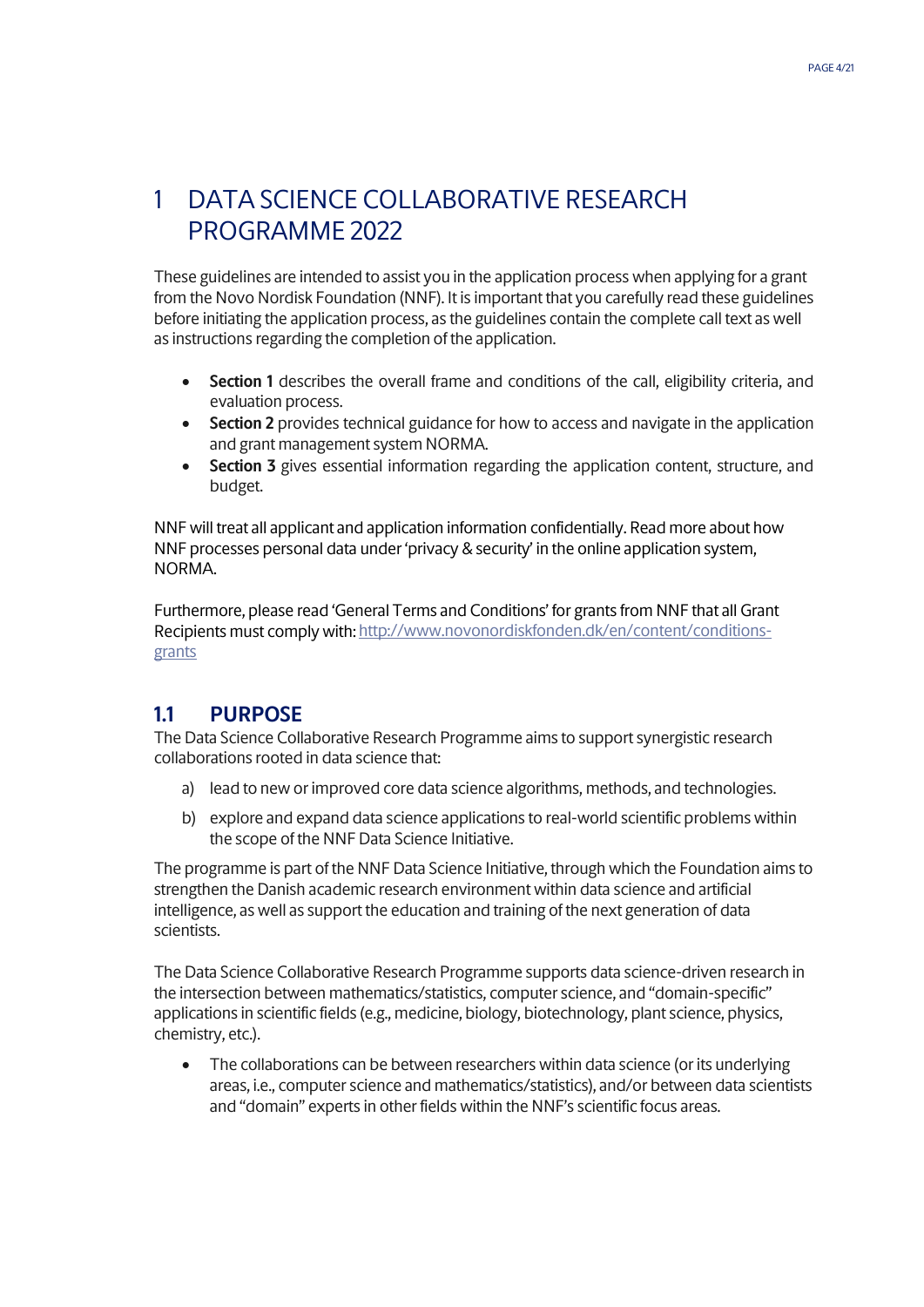# <span id="page-3-0"></span>1 DATA SCIENCE COLLABORATIVE RESEARCH PROGRAMME 2022

These guidelines are intended to assist you in the application process when applying for a grant from the Novo Nordisk Foundation (NNF). It is important that you carefully read these guidelines before initiating the application process, as the guidelines contain the complete call text as well as instructions regarding the completion of the application.

- **Section 1** describes the overall frame and conditions of the call, eligibility criteria, and evaluation process.
- **Section 2** provides technical guidance for how to access and navigate in the application and grant management system NORMA.
- **Section 3** gives essential information regarding the application content, structure, and budget.

NNF will treat all applicant and application information confidentially. Read more about how NNF processes personal data under 'privacy & security' in the online application system, NORMA.

Furthermore, please read 'General Terms and Conditions' for grants from NNF that all Grant Recipients must comply with: [http://www.novonordiskfonden.dk/en/content/conditions](http://www.novonordiskfonden.dk/en/content/conditions-grants)[grants](http://www.novonordiskfonden.dk/en/content/conditions-grants)

## <span id="page-3-1"></span>**1.1 PURPOSE**

The Data Science Collaborative Research Programme aims to support synergistic research collaborations rooted in data science that:

- a) lead to new or improved core data science algorithms, methods, and technologies.
- b) explore and expand data science applications to real-world scientific problems within the scope of the NNF Data Science Initiative.

The programme is part of the NNF Data Science Initiative, through which the Foundation aims to strengthen the Danish academic research environment within data science and artificial intelligence, as well as support the education and training of the next generation of data scientists.

The Data Science Collaborative Research Programme supports data science-driven research in the intersection between mathematics/statistics, computer science, and "domain-specific" applications in scientific fields (e.g., medicine, biology, biotechnology, plant science, physics, chemistry, etc.).

• The collaborations can be between researchers within data science (or its underlying areas, i.e., computer science and mathematics/statistics), and/or between data scientists and "domain" experts in other fields within the NNF's scientific focus areas.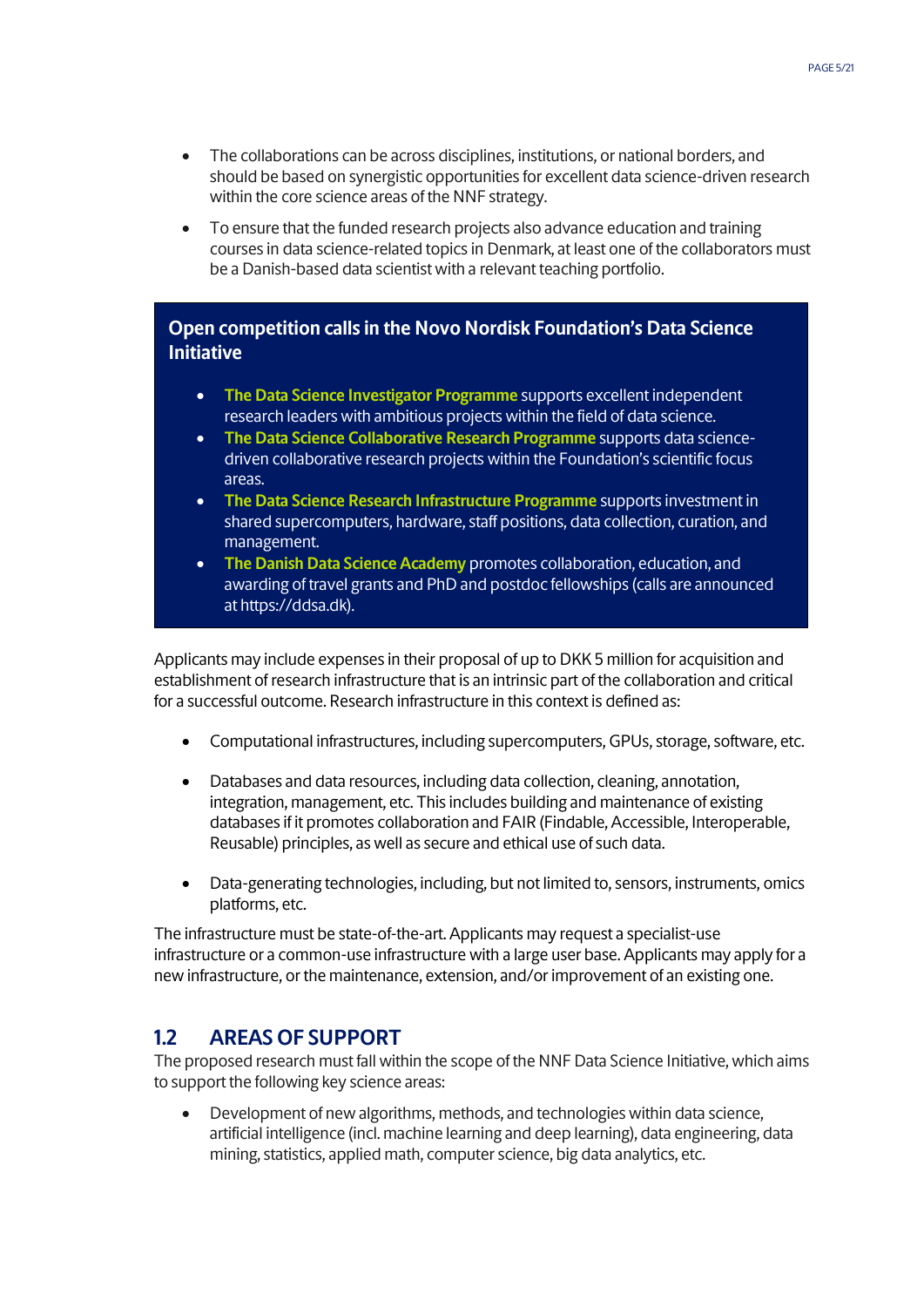- The collaborations can be across disciplines, institutions, or national borders, and should be based on synergistic opportunities for excellent data science-driven research within the core science areas of the NNF strategy.
- To ensure that the funded research projects also advance education and training courses in data science-related topics in Denmark, at least one of the collaborators must be a Danish-based data scientist with a relevant teaching portfolio.

## **Open competition calls in the Novo Nordisk Foundation's Data Science Initiative**

- **The Data Science Investigator Programme** supports excellent independent research leaders with ambitious projects within the field of data science.
- **The Data Science Collaborative Research Programme** supports data sciencedriven collaborative research projects within the Foundation's scientific focus areas.
- **The Data Science Research Infrastructure Programme** supports investment in shared supercomputers, hardware, staff positions, data collection, curation, and management.
- **The Danish Data Science Academy** promotes collaboration, education, and awarding of travel grants and PhD and postdoc fellowships (calls are announced at https://ddsa.dk).

Applicants may include expenses in their proposal of up to DKK 5 million for acquisition and establishment of research infrastructure that is an intrinsic part of the collaboration and critical for a successful outcome. Research infrastructure in this context is defined as:

- Computational infrastructures, including supercomputers, GPUs, storage, software, etc.
- Databases and data resources, including data collection, cleaning, annotation, integration, management, etc. This includes building and maintenance of existing databases if it promotes collaboration and FAIR (Findable, Accessible, Interoperable, Reusable) principles, as well as secure and ethical use of such data.
- Data-generating technologies, including, but not limited to, sensors, instruments, omics platforms, etc.

The infrastructure must be state-of-the-art. Applicants may request a specialist-use infrastructure or a common-use infrastructure with a large user base. Applicants may apply for a new infrastructure, or the maintenance, extension, and/or improvement of an existing one.

## <span id="page-4-0"></span>**1.2 AREAS OF SUPPORT**

The proposed research must fall within the scope of the NNF Data Science Initiative, which aims to support the following key science areas:

• Development of new algorithms, methods, and technologies within data science, artificial intelligence (incl. machine learning and deep learning), data engineering, data mining, statistics, applied math, computer science, big data analytics, etc.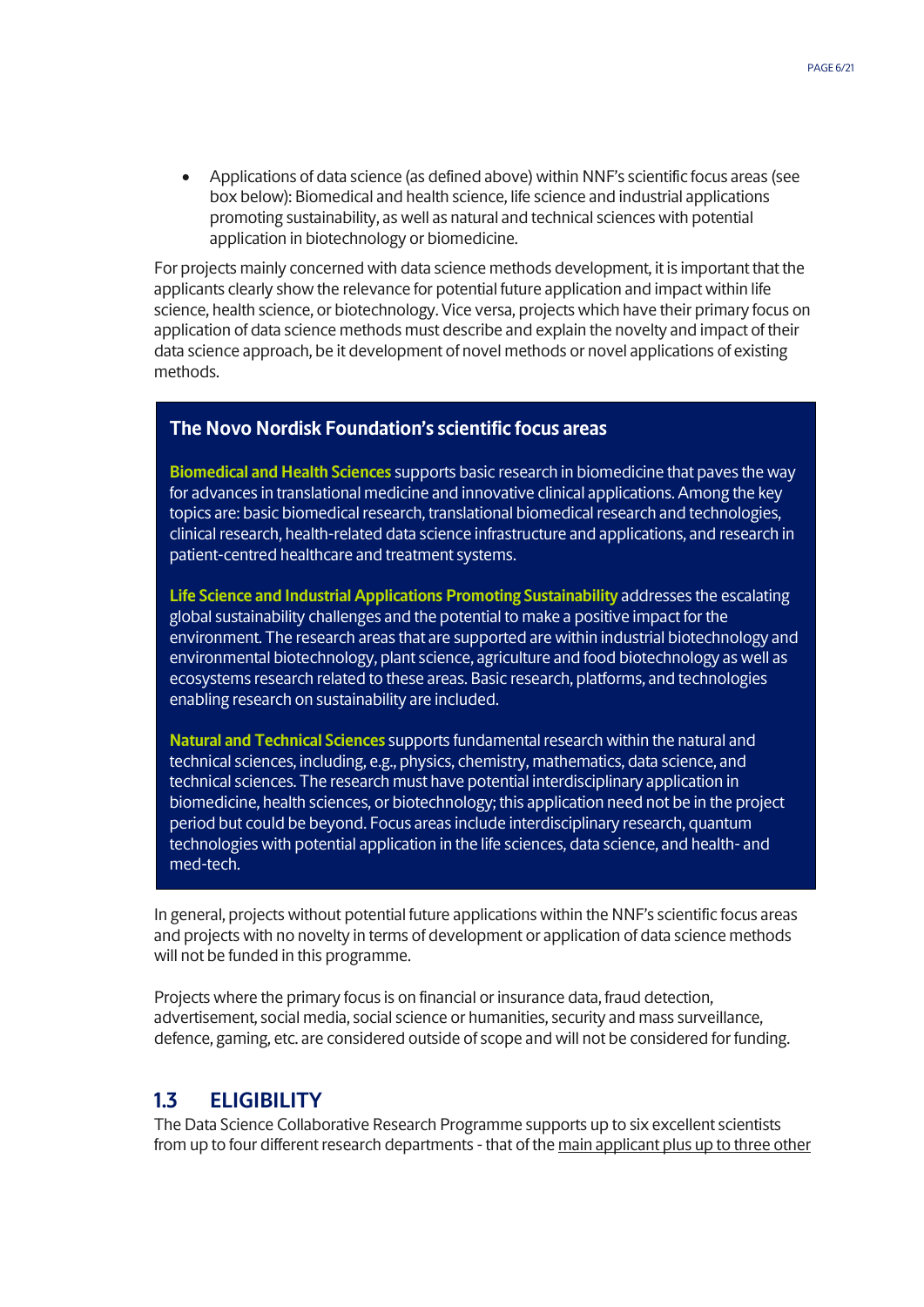• Applications of data science (as defined above) within NNF's scientific focus areas (see box below): Biomedical and health science, life science and industrial applications promoting sustainability, as well as natural and technical sciences with potential application in biotechnology or biomedicine.

For projects mainly concerned with data science methods development, it is important that the applicants clearly show the relevance for potential future application and impact within life science, health science, or biotechnology. Vice versa, projects which have their primary focus on application of data science methods must describe and explain the novelty and impact of their data science approach, be it development of novel methods or novel applications of existing methods.

## **The Novo Nordisk Foundation's scientific focus areas**

**Biomedical and Health Sciences** supports basic research in biomedicine that paves the way for advances in translational medicine and innovative clinical applications. Among the key topics are: basic biomedical research, translational biomedical research and technologies, clinical research, health-related data science infrastructure and applications, and research in patient-centred healthcare and treatment systems.

**Life Science and Industrial Applications Promoting Sustainability** addresses the escalating global sustainability challenges and the potential to make a positive impact for the environment. The research areas that are supported are within industrial biotechnology and environmental biotechnology, plant science, agriculture and food biotechnology as well as ecosystems research related to these areas. Basic research, platforms, and technologies enabling research on sustainability are included.

**Natural and Technical Sciences** supports fundamental research within the natural and technical sciences, including, e.g., physics, chemistry, mathematics, data science, and technical sciences. The research must have potential interdisciplinary application in biomedicine, health sciences, or biotechnology; this application need not be in the project period but could be beyond. Focus areas include interdisciplinary research, quantum technologies with potential application in the life sciences, data science, and health- and med-tech.

In general, projects without potential future applications within the NNF's scientific focus areas and projects with no novelty in terms of development or application of data science methods will not be funded in this programme.

Projects where the primary focus is on financial or insurance data, fraud detection, advertisement, social media, social science or humanities, security and mass surveillance, defence, gaming, etc. are considered outside of scope and will not be considered for funding.

## <span id="page-5-0"></span>**1.3 ELIGIBILITY**

The Data Science Collaborative Research Programme supports up to six excellent scientists from up to four different research departments - that of the main applicant plus up to three other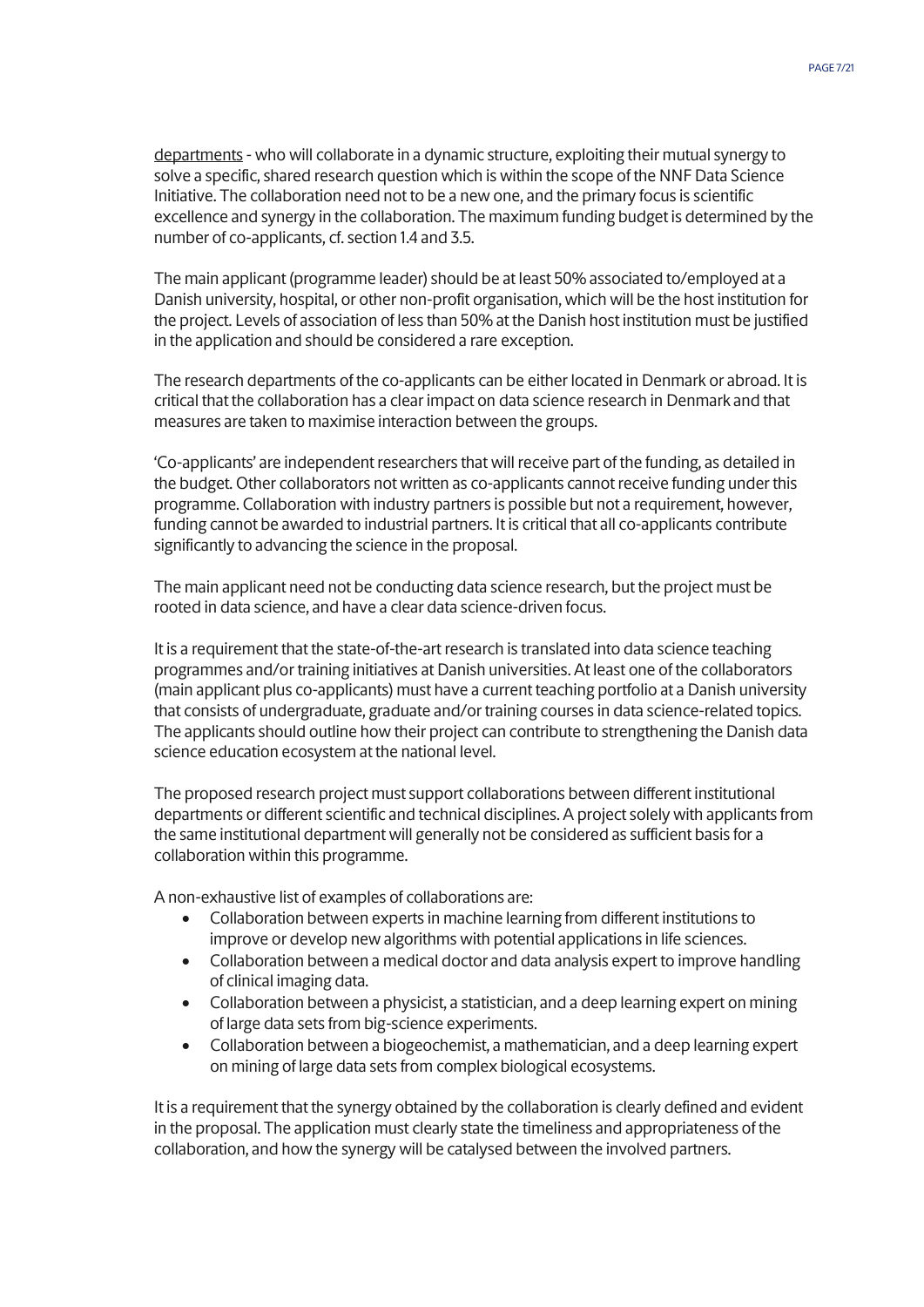departments - who will collaborate in a dynamic structure, exploiting their mutual synergy to solve a specific, shared research question which is within the scope of the NNF Data Science Initiative. The collaboration need not to be a new one, and the primary focus is scientific excellence and synergy in the collaboration. The maximum funding budget is determined by the number of co-applicants, cf. section 1.4 and 3.5.

The main applicant (programme leader) should be at least 50% associated to/employed at a Danish university, hospital, or other non-profit organisation, which will be the host institution for the project. Levels of association of less than 50% at the Danish host institution must be justified in the application and should be considered a rare exception.

The research departments of the co-applicants can be either located in Denmark or abroad. It is critical that the collaboration has a clear impact on data science research in Denmark and that measures are taken to maximise interaction between the groups.

'Co-applicants' are independent researchers that will receive part of the funding, as detailed in the budget. Other collaborators not written as co-applicants cannot receive funding under this programme. Collaboration with industry partners is possible but not a requirement, however, funding cannot be awarded to industrial partners. It is critical that all co-applicants contribute significantly to advancing the science in the proposal.

The main applicant need not be conducting data science research, but the project must be rooted in data science, and have a clear data science-driven focus.

It is a requirement that the state-of-the-art research is translated into data science teaching programmes and/or training initiatives at Danish universities. At least one of the collaborators (main applicant plus co-applicants) must have a current teaching portfolio at a Danish university that consists of undergraduate, graduate and/or training courses in data science-related topics. The applicants should outline how their project can contribute to strengthening the Danish data science education ecosystem at the national level.

The proposed research project must support collaborations between different institutional departments or different scientific and technical disciplines. A project solely with applicants from the same institutional department will generally not be considered as sufficient basis for a collaboration within this programme.

A non-exhaustive list of examples of collaborations are:

- Collaboration between experts in machine learning from different institutions to improve or develop new algorithms with potential applications in life sciences.
- Collaboration between a medical doctor and data analysis expert to improve handling of clinical imaging data.
- Collaboration between a physicist, a statistician, and a deep learning expert on mining of large data sets from big-science experiments.
- Collaboration between a biogeochemist, a mathematician, and a deep learning expert on mining of large data sets from complex biological ecosystems.

It is a requirement that the synergy obtained by the collaboration is clearly defined and evident in the proposal. The application must clearly state the timeliness and appropriateness of the collaboration, and how the synergy will be catalysed between the involved partners.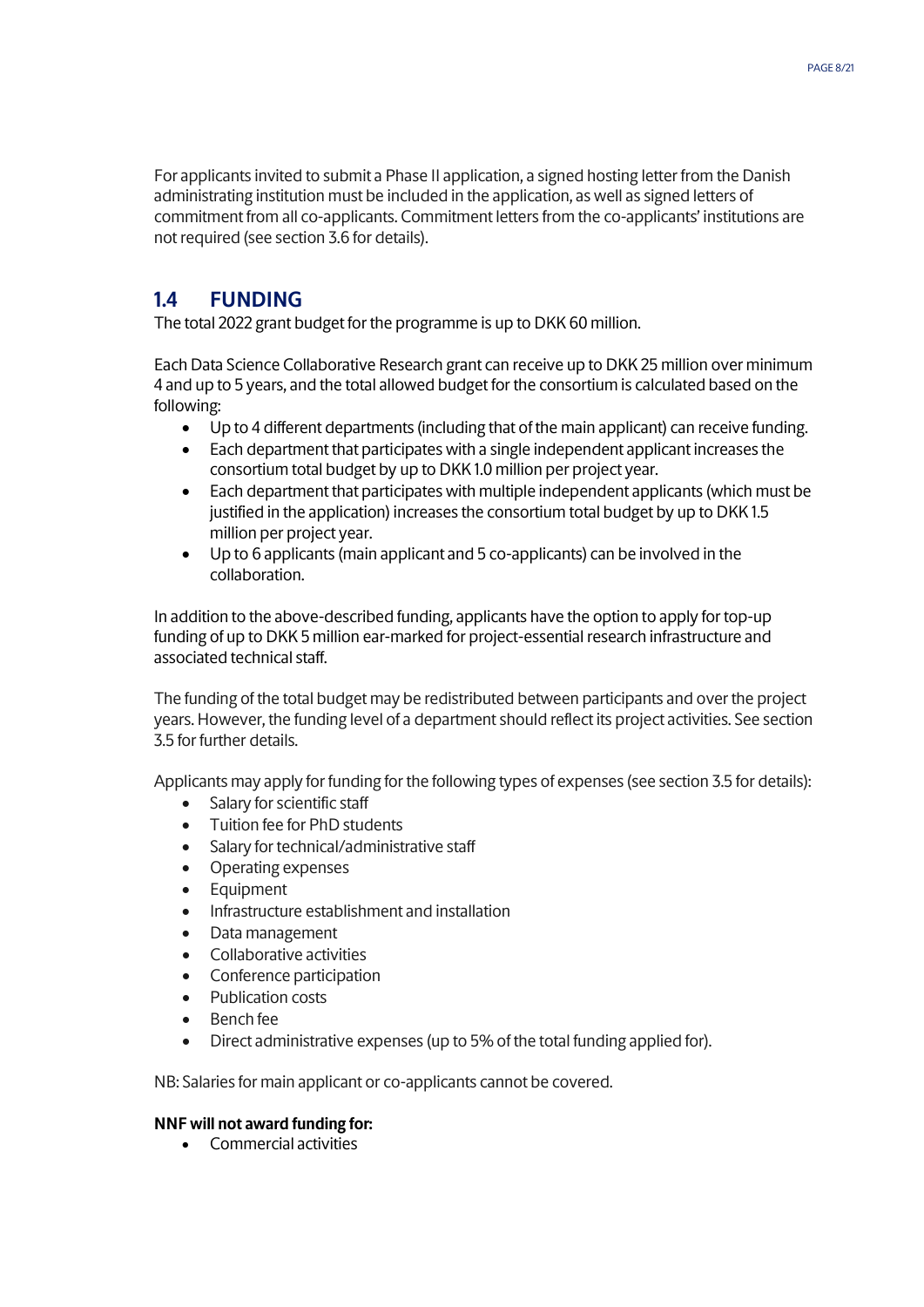For applicants invited to submit a Phase II application, a signed hosting letter from the Danish administrating institution must be included in the application, as well as signed letters of commitment from all co-applicants. Commitment letters from the co-applicants' institutions are not required (see section 3.6 for details).

## <span id="page-7-0"></span>**1.4 FUNDING**

The total 2022 grant budget for the programme is up to DKK 60 million.

Each Data Science Collaborative Research grant can receive up to DKK 25 million over minimum 4 and up to 5 years, and the total allowed budget for the consortium is calculated based on the following:

- Up to 4 different departments (including that of the main applicant) can receive funding.
- Each department that participates with a single independent applicant increases the consortium total budget by up to DKK 1.0 million per project year.
- Each department that participates with multiple independent applicants (which must be justified in the application) increases the consortium total budget by up to DKK 1.5 million per project year.
- Up to 6 applicants (main applicant and 5 co-applicants) can be involved in the collaboration.

In addition to the above-described funding, applicants have the option to apply for top-up funding of up to DKK 5 million ear-marked for project-essential research infrastructure and associated technical staff.

The funding of the total budget may be redistributed between participants and over the project years. However, the funding level of a department should reflect its project activities. See section 3.5 for further details.

Applicants may apply for funding for the following types of expenses (see section 3.5 for details):

- Salary for scientific staff
- Tuition fee for PhD students
- Salary for technical/administrative staff
- Operating expenses
- Equipment
- Infrastructure establishment and installation
- Data management
- Collaborative activities
- Conference participation
- Publication costs
- Bench fee
- Direct administrative expenses (up to 5% of the total funding applied for).

NB: Salaries for main applicant or co-applicants cannot be covered.

#### **NNF will not award funding for:**

• Commercial activities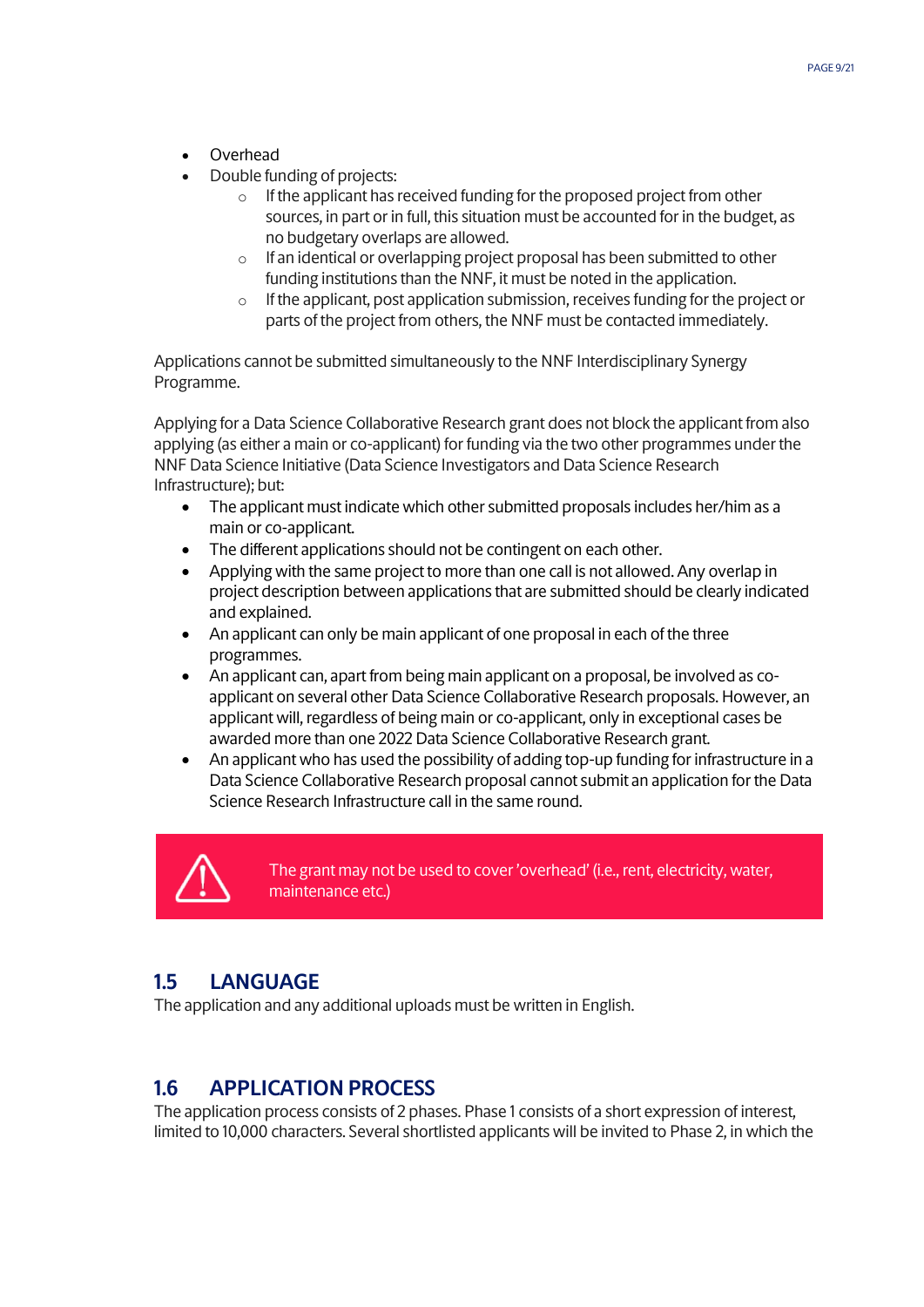- Overhead
- Double funding of projects:
	- $\circ$  If the applicant has received funding for the proposed project from other sources, in part or in full, this situation must be accounted for in the budget, as no budgetary overlaps are allowed.
	- o If an identical or overlapping project proposal has been submitted to other funding institutions than the NNF, it must be noted in the application.
	- o If the applicant, post application submission, receives funding for the project or parts of the project from others, the NNF must be contacted immediately.

Applications cannot be submitted simultaneously to the NNF Interdisciplinary Synergy Programme.

Applying for a Data Science Collaborative Research grant does not block the applicant from also applying (as either a main or co-applicant) for funding via the two other programmes under the NNF Data Science Initiative (Data Science Investigators and Data Science Research Infrastructure); but:

- The applicant must indicate which other submitted proposals includes her/him as a main or co-applicant.
- The different applications should not be contingent on each other.
- Applying with the same project to more than one call is not allowed. Any overlap in project description between applications that are submitted should be clearly indicated and explained.
- An applicant can only be main applicant of one proposal in each of the three programmes.
- An applicant can, apart from being main applicant on a proposal, be involved as coapplicant on several other Data Science Collaborative Research proposals. However, an applicant will, regardless of being main or co-applicant, only in exceptional cases be awarded more than one 2022 Data Science Collaborative Research grant.
- An applicant who has used the possibility of adding top-up funding for infrastructure in a Data Science Collaborative Research proposal cannot submit an application for the Data Science Research Infrastructure call in the same round.



The grant may not be used to cover 'overhead' (i.e., rent, electricity, water, maintenance etc.)

## <span id="page-8-0"></span>**1.5 LANGUAGE**

The application and any additional uploads must be written in English.

## <span id="page-8-1"></span>**1.6 APPLICATION PROCESS**

The application process consists of 2 phases. Phase 1 consists of a short expression of interest, limited to 10,000 characters. Several shortlisted applicants will be invited to Phase 2, in which the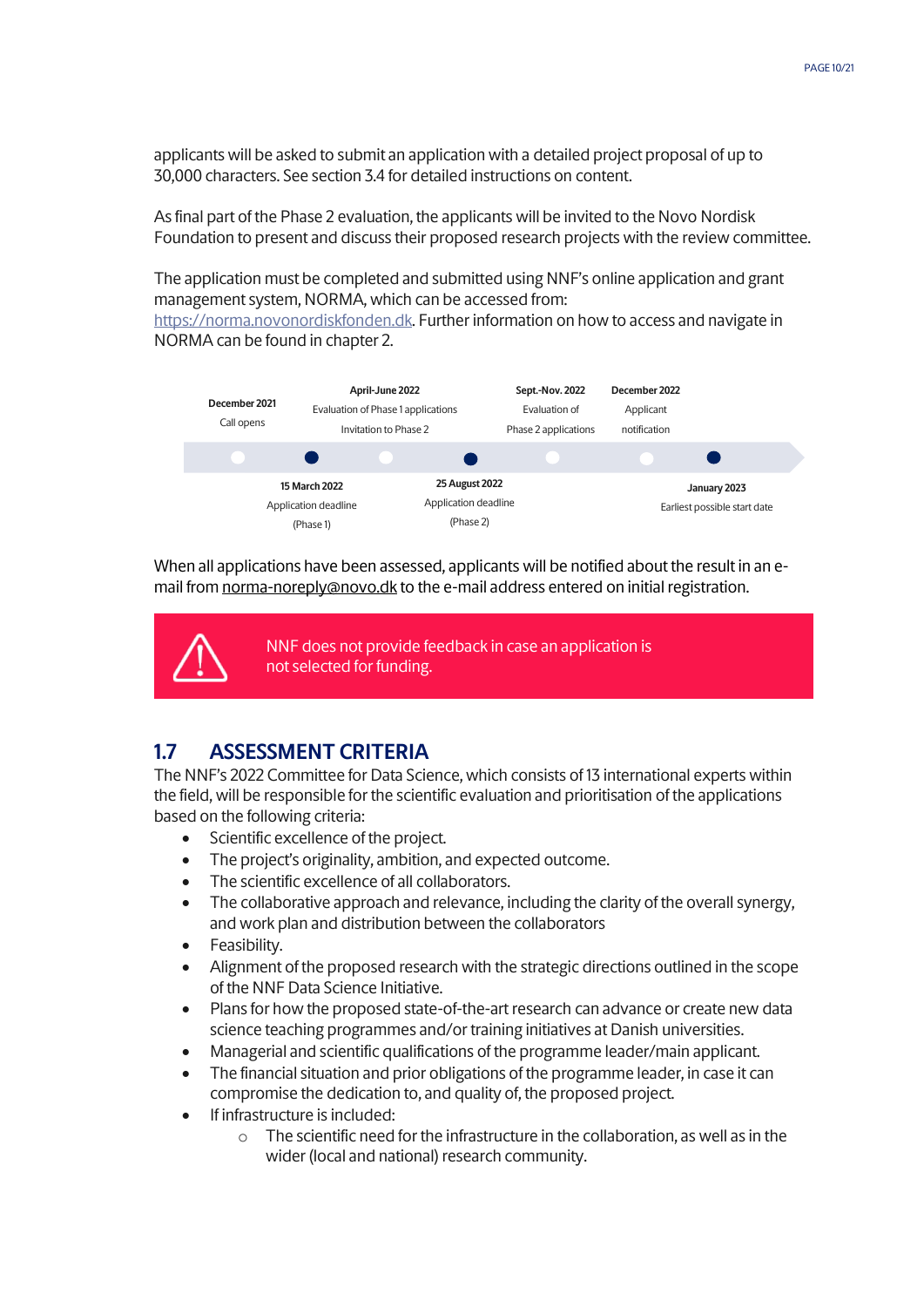applicants will be asked to submit an application with a detailed project proposal of up to 30,000 characters. See section 3.4 for detailed instructions on content.

As final part of the Phase 2 evaluation, the applicants will be invited to the Novo Nordisk Foundation to present and discuss their proposed research projects with the review committee.

The application must be completed and submitted using NNF's online application and grant management system, NORMA, which can be accessed from:

[https://norma.novonordiskfonden.dk.](https://norma.novonordiskfonden.dk/) Further information on how to access and navigate in NORMA can be found in chapter 2.



When all applications have been assessed, applicants will be notified about the result in an email from norma-[noreply@novo.dk](mailto:noreply@norma.novonordiskfonden.dk) to the e-mail address entered on initial registration.



NNF does not provide feedback in case an application is not selected for funding.

## <span id="page-9-0"></span>**1.7 ASSESSMENT CRITERIA**

The NNF's 2022 Committee for Data Science, which consists of 13 international experts within the field, will be responsible for the scientific evaluation and prioritisation of the applications based on the following criteria:

- Scientific excellence of the project.
- The project's originality, ambition, and expected outcome.
- The scientific excellence of all collaborators.
- The collaborative approach and relevance, including the clarity of the overall synergy, and work plan and distribution between the collaborators
- Feasibility.
- Alignment of the proposed research with the strategic directions outlined in the scope of the NNF Data Science Initiative.
- Plans for how the proposed state-of-the-art research can advance or create new data science teaching programmes and/or training initiatives at Danish universities.
- Managerial and scientific qualifications of the programme leader/main applicant.
- The financial situation and prior obligations of the programme leader, in case it can compromise the dedication to, and quality of, the proposed project.
- If infrastructure is included:
	- $\circ$  The scientific need for the infrastructure in the collaboration, as well as in the wider (local and national) research community.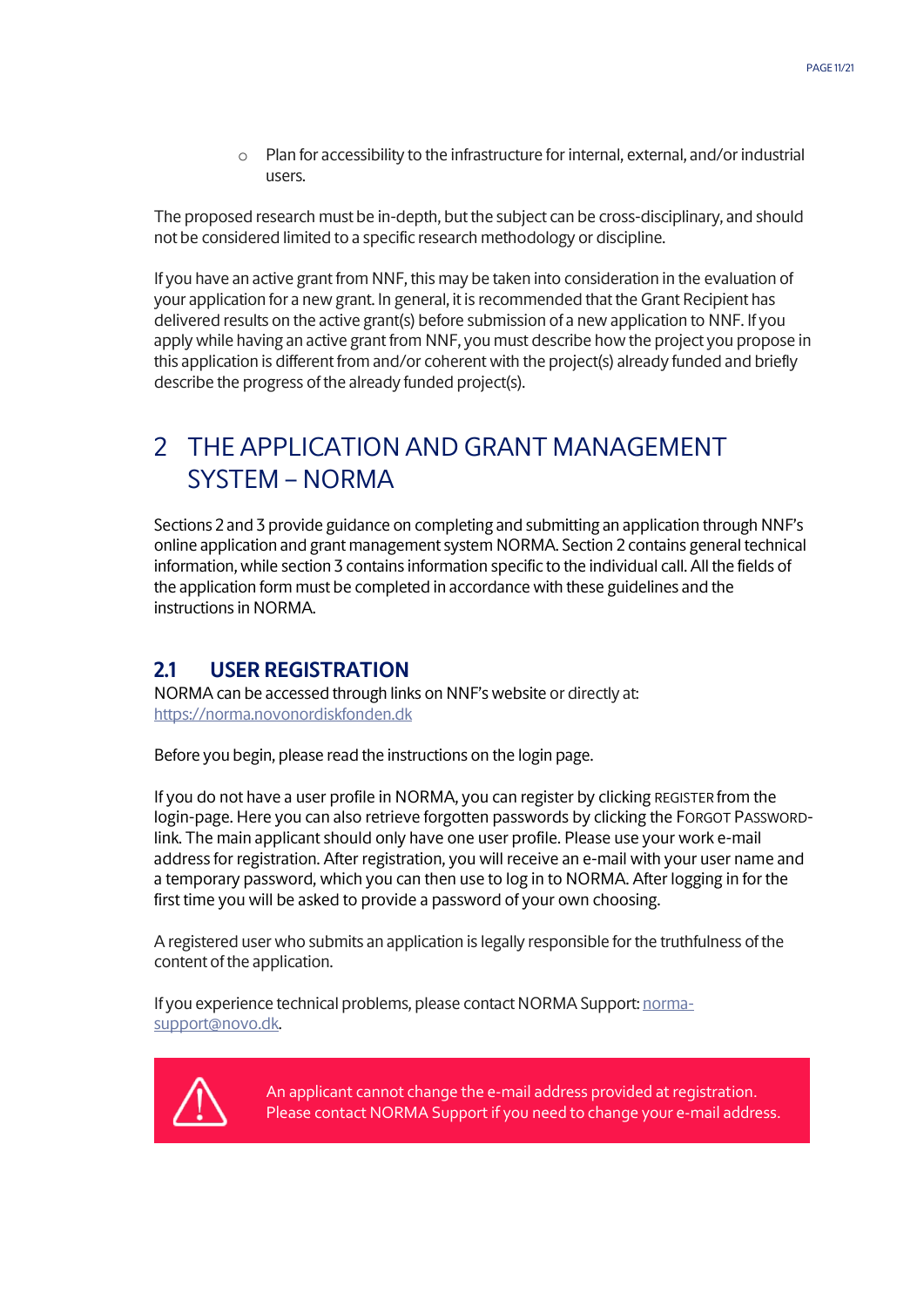o Plan for accessibility to the infrastructure for internal, external, and/or industrial users.

The proposed research must be in-depth, but the subject can be cross-disciplinary, and should not be considered limited to a specific research methodology or discipline.

If you have an active grant from NNF, this may be taken into consideration in the evaluation of your application for a new grant. In general, it is recommended that the Grant Recipient has delivered results on the active grant(s) before submission of a new application to NNF. If you apply while having an active grant from NNF, you must describe how the project you propose in this application is different from and/or coherent with the project(s) already funded and briefly describe the progress of the already funded project(s).

# <span id="page-10-0"></span>2 THE APPLICATION AND GRANT MANAGEMENT SYSTEM – NORMA

Sections 2 and 3 provide guidance on completing and submitting an application through NNF's online application and grant management system NORMA. Section 2 contains general technical information, while section 3 contains information specific to the individual call. All the fields of the application form must be completed in accordance with these guidelines and the instructions in NORMA.

## <span id="page-10-1"></span>**2.1 USER REGISTRATION**

NORMA can be accessed through links on NNF's website or directly at: [https://norma.novonordiskfonden.dk](https://norma.novonordiskfonden.dk/)

Before you begin, please read the instructions on the login page.

If you do not have a user profile in NORMA, you can register by clicking REGISTER from the login-page. Here you can also retrieve forgotten passwords by clicking the FORGOT PASSWORDlink. The main applicant should only have one user profile. Please use your work e-mail address for registration. After registration, you will receive an e-mail with your user name and a temporary password, which you can then use to log in to NORMA. After logging in for the first time you will be asked to provide a password of your own choosing.

A registered user who submits an application is legally responsible for the truthfulness of the content of the application.

If you experience technical problems, please contact NORMA Support[: norma](mailto:norma-support@novo.dk)[support@novo.dk.](mailto:norma-support@novo.dk)



An applicant cannot change the e-mail address provided at registration. Please contact NORMA Support if you need to change your e-mail address.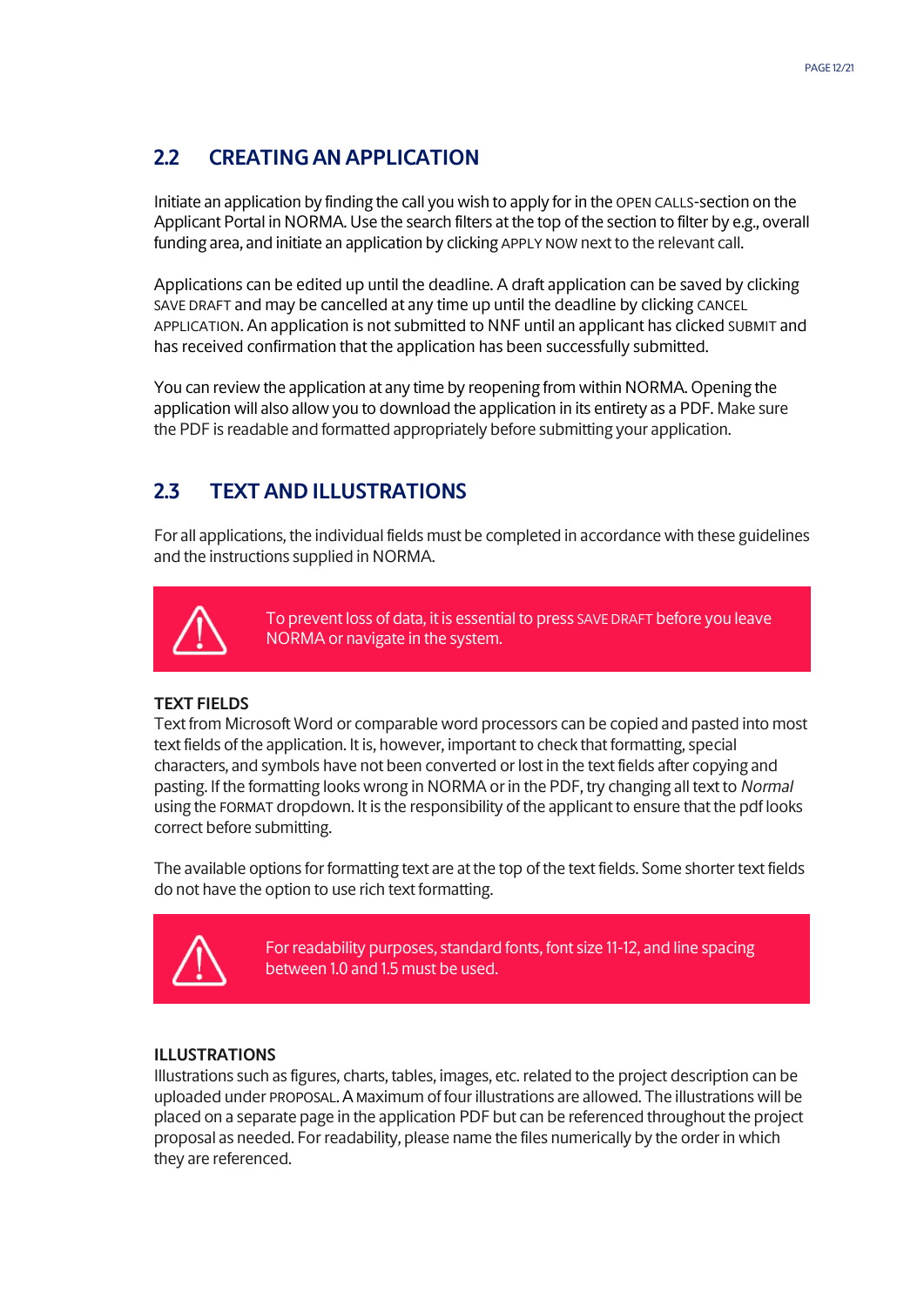## <span id="page-11-0"></span>**2.2 CREATING AN APPLICATION**

Initiate an application by finding the call you wish to apply for in the OPEN CALLS-section on the Applicant Portal in NORMA. Use the search filters at the top of the section to filter by e.g., overall funding area, and initiate an application by clicking APPLY NOW next to the relevant call.

Applications can be edited up until the deadline. A draft application can be saved by clicking SAVE DRAFT and may be cancelled at any time up until the deadline by clicking CANCEL APPLICATION. An application is not submitted to NNF until an applicant has clicked SUBMIT and has received confirmation that the application has been successfully submitted.

You can review the application at any time by reopening from within NORMA. Opening the application will also allow you to download the application in its entirety as a PDF. Make sure the PDF is readable and formatted appropriately before submitting your application.

## <span id="page-11-1"></span>**2.3 TEXT AND ILLUSTRATIONS**

For all applications, the individual fields must be completed in accordance with these guidelines and the instructions supplied in NORMA.



To prevent loss of data, it is essential to press SAVE DRAFT before you leave NORMA or navigate in the system.

#### **TEXT FIELDS**

Text from Microsoft Word or comparable word processors can be copied and pasted into most text fields of the application. It is, however, important to check that formatting, special characters, and symbols have not been converted or lost in the text fields after copying and pasting. If the formatting looks wrong in NORMA or in the PDF, try changing all text to *Normal* using the FORMAT dropdown. It is the responsibility of the applicant to ensure that the pdf looks correct before submitting.

The available options for formatting text are at the top of the text fields. Some shorter text fields do not have the option to use rich text formatting.



For readability purposes, standard fonts, font size 11-12, and line spacing between 1.0 and 1.5 must be used.

#### **ILLUSTRATIONS**

Illustrations such as figures, charts, tables, images, etc. related to the project description can be uploaded under PROPOSAL.A Maximum of four illustrations are allowed. The illustrations will be placed on a separate page in the application PDF but can be referenced throughout the project proposal as needed. For readability, please name the files numerically by the order in which they are referenced.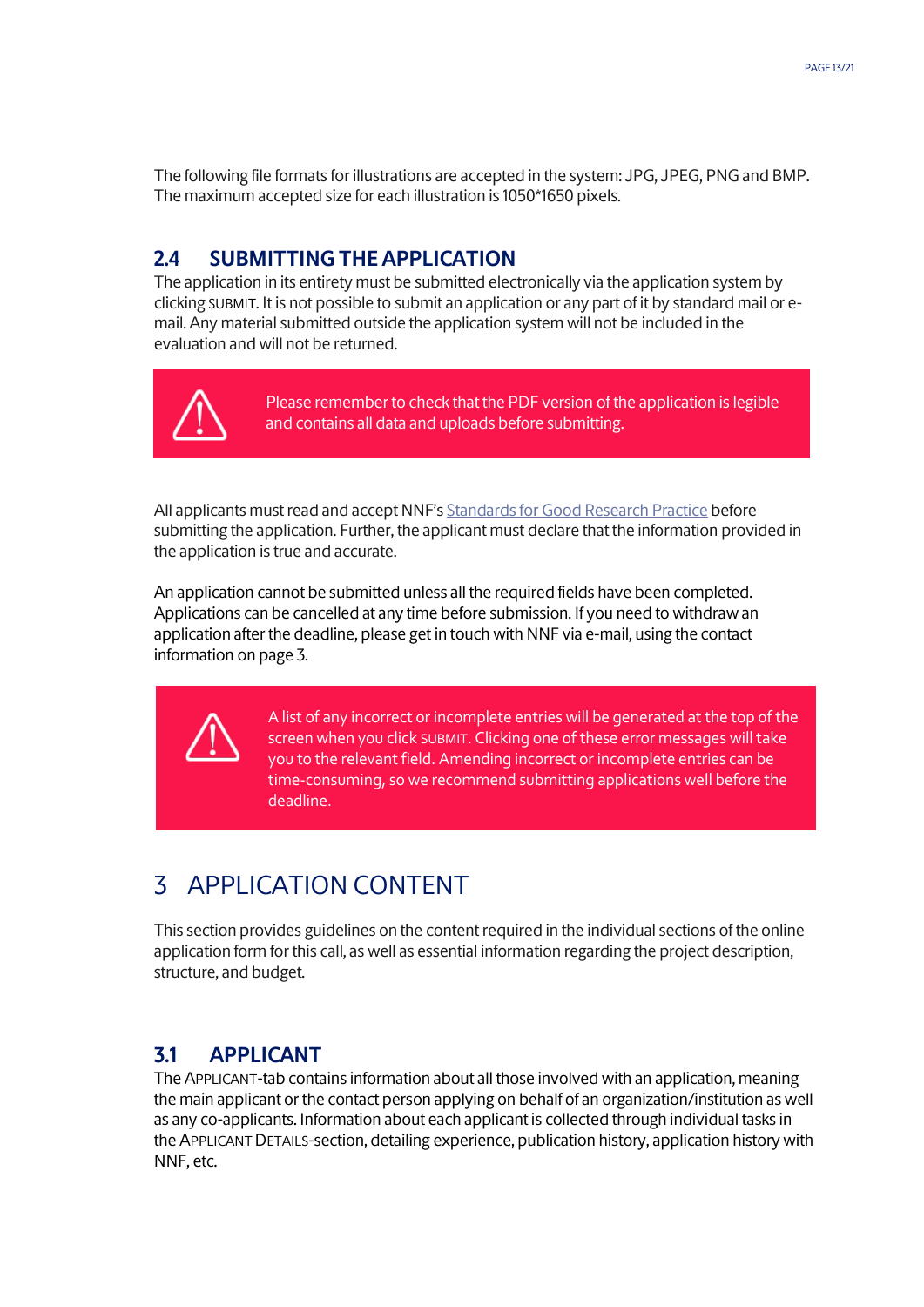<span id="page-12-0"></span>The following file formats for illustrations are accepted in the system: JPG, JPEG, PNGand BMP. The maximum accepted size for each illustration is 1050\*1650 pixels.

### **2.4 SUBMITTING THE APPLICATION**

The application in its entirety must be submitted electronically via the application system by clicking SUBMIT. It is not possible to submit an application or any part of it by standard mail or email. Any material submitted outside the application system will not be included in the evaluation and will not be returned.



Please remember to check that the PDF version of the application is legible and contains all data and uploads before submitting.

All applicants must read and accept NNF's Standards [for Good Research Practice](https://novonordiskfonden.dk/en/standards-for-good-research-practice/) before submitting the application. Further, the applicant must declare that the information provided in the application is true and accurate.

An application cannot be submitted unless all the required fields have been completed. Applications can be cancelled at any time before submission. If you need to withdraw an application after the deadline, please get in touch with NNF via e-mail, using the contact information on page 3.



A list of any incorrect or incomplete entries will be generated at the top of the screen when you click SUBMIT. Clicking one of these error messages will take you to the relevant field. Amending incorrect or incomplete entries can be time-consuming, so we recommend submitting applications well before the deadline.

# <span id="page-12-1"></span>3 APPLICATION CONTENT

This section provides guidelines on the content required in the individual sections of the online application form for this call, as well as essential information regarding the project description, structure, and budget.

## <span id="page-12-2"></span>**3.1 APPLICANT**

The APPLICANT-tab contains information about all those involved with an application, meaning the main applicant or the contact person applying on behalf of an organization/institution as well as any co-applicants. Information about each applicant is collected through individual tasks in the APPLICANT DETAILS-section, detailing experience, publication history, application history with NNF, etc.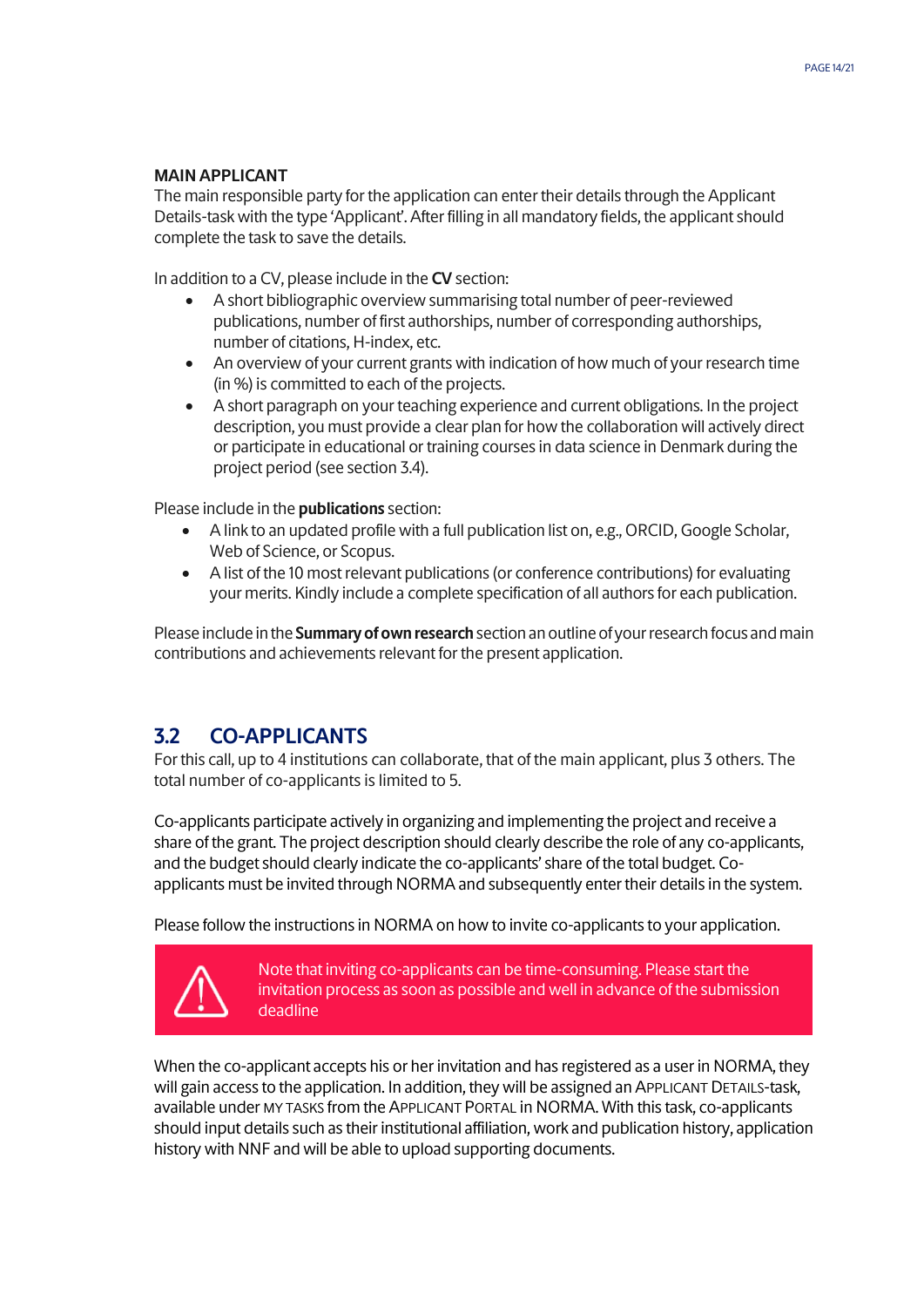#### **MAIN APPLICANT**

The main responsible party for the application can enter their details through the Applicant Details-task with the type 'Applicant'. After filling in all mandatory fields, the applicant should complete the task to save the details.

In addition to a CV, please include in the **CV** section:

- A short bibliographic overview summarising total number of peer-reviewed publications, number of first authorships, number of corresponding authorships, number of citations, H-index, etc.
- An overview of your current grants with indication of how much of your research time (in %) is committed to each of the projects.
- A short paragraph on your teaching experience and current obligations. In the project description, you must provide a clear plan for how the collaboration will actively direct or participate in educational or training courses in data science in Denmark during the project period (see section 3.4).

Please include in the **publications** section:

- A link to an updated profile with a full publication list on, e.g., ORCID, Google Scholar, Web of Science, or Scopus.
- A list of the 10 most relevant publications (or conference contributions) for evaluating your merits. Kindly include a complete specification of all authors for each publication.

Please include in the **Summary of own research** section an outline of your research focus and main contributions and achievements relevant for the present application.

## <span id="page-13-0"></span>**3.2 CO-APPLICANTS**

For this call, up to 4 institutions can collaborate, that of the main applicant, plus 3 others. The total number of co-applicants is limited to 5.

Co-applicants participate actively in organizing and implementing the project and receive a share of the grant. The project description should clearly describe the role of any co-applicants, and the budget should clearly indicate the co-applicants' share of the total budget. Coapplicants must be invited through NORMA and subsequently enter their details in the system.

Please follow the instructions in NORMA on how to invite co-applicants to your application.



Note that inviting co-applicants can be time-consuming. Please start the invitation process as soon as possible and well in advance of the submission deadline

When the co-applicant accepts his or her invitation and has registered as a user in NORMA, they will gain access to the application. In addition, they will be assigned an APPLICANT DETAILS-task, available under MY TASKS from the APPLICANT PORTAL in NORMA. With this task, co-applicants should input details such as their institutional affiliation, work and publication history, application history with NNF and will be able to upload supporting documents.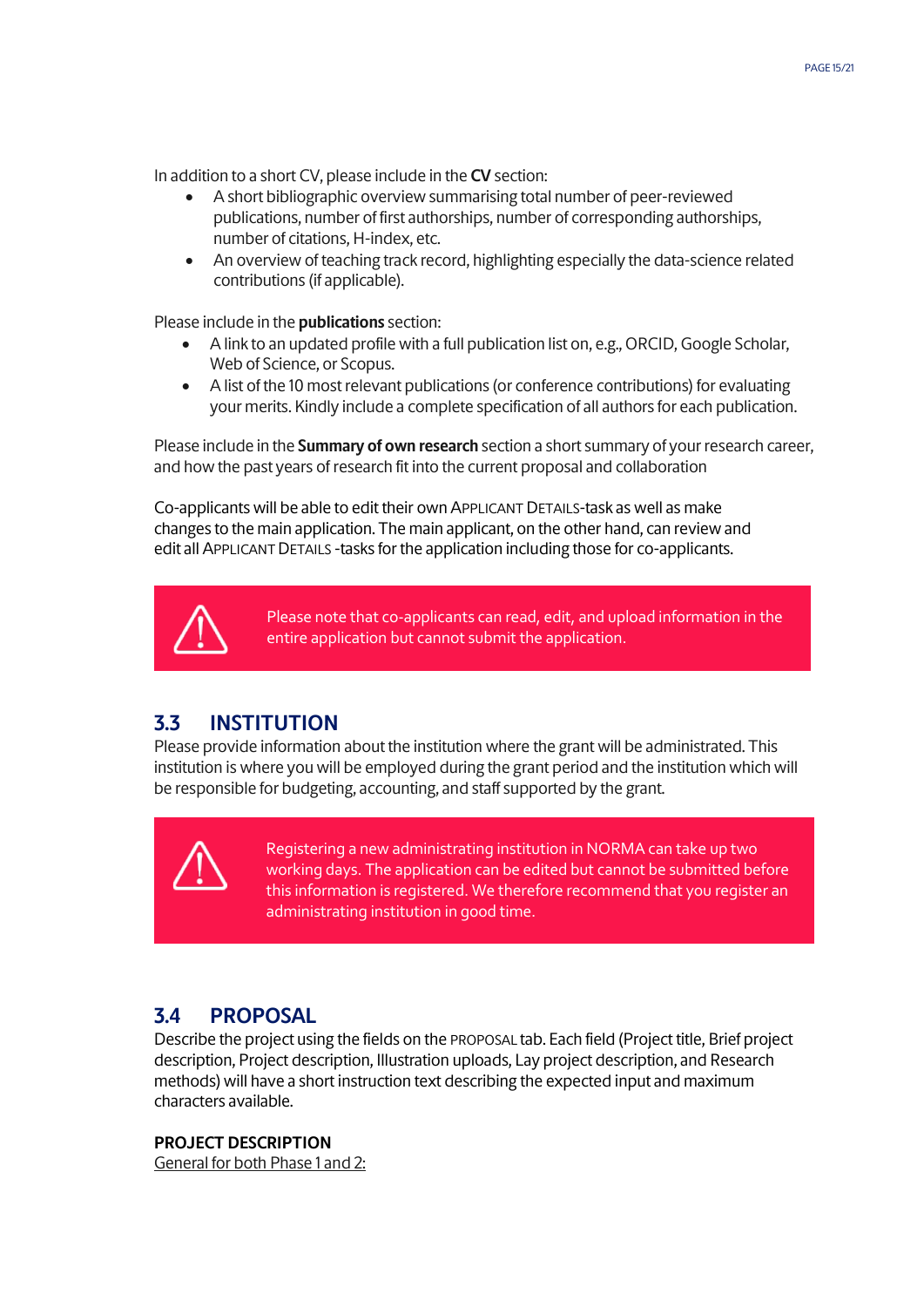In addition to a short CV, please include in the **CV** section:

- A short bibliographic overview summarising total number of peer-reviewed publications, number of first authorships, number of corresponding authorships, number of citations, H-index, etc.
- An overview of teaching track record, highlighting especially the data-science related contributions (if applicable).

Please include in the **publications** section:

- A link to an updated profile with a full publication list on, e.g., ORCID, Google Scholar, Web of Science, or Scopus.
- A list of the 10 most relevant publications (or conference contributions) for evaluating your merits. Kindly include a complete specification of all authors for each publication.

Please include in the **Summary of own research** section a short summary of your research career, and how the past years of research fit into the current proposal and collaboration

Co-applicants will be able to edit their own APPLICANT DETAILS-task as well as make changes to the main application. The main applicant, on the other hand, can review and edit all APPLICANT DETAILS -tasks for the application including those for co-applicants.



Please note that co-applicants can read, edit, and upload information in the entire application but cannot submit the application.

## <span id="page-14-0"></span>**3.3 INSTITUTION**

Please provide information about the institution where the grant will be administrated. This institution is where you will be employed during the grant period and the institution which will be responsible for budgeting, accounting, and staff supported by the grant.



Registering a new administrating institution in NORMA can take up two working days. The application can be edited but cannot be submitted before this information is registered. We therefore recommend that you register an administrating institution in good time.

#### <span id="page-14-1"></span>**3.4 PROPOSAL**

Describe the project using the fields on the PROPOSAL tab. Each field (Project title, Brief project description, Project description, Illustration uploads, Lay project description, and Research methods) will have a short instruction text describing the expected input and maximum characters available.

#### **PROJECT DESCRIPTION**

General for both Phase 1 and 2: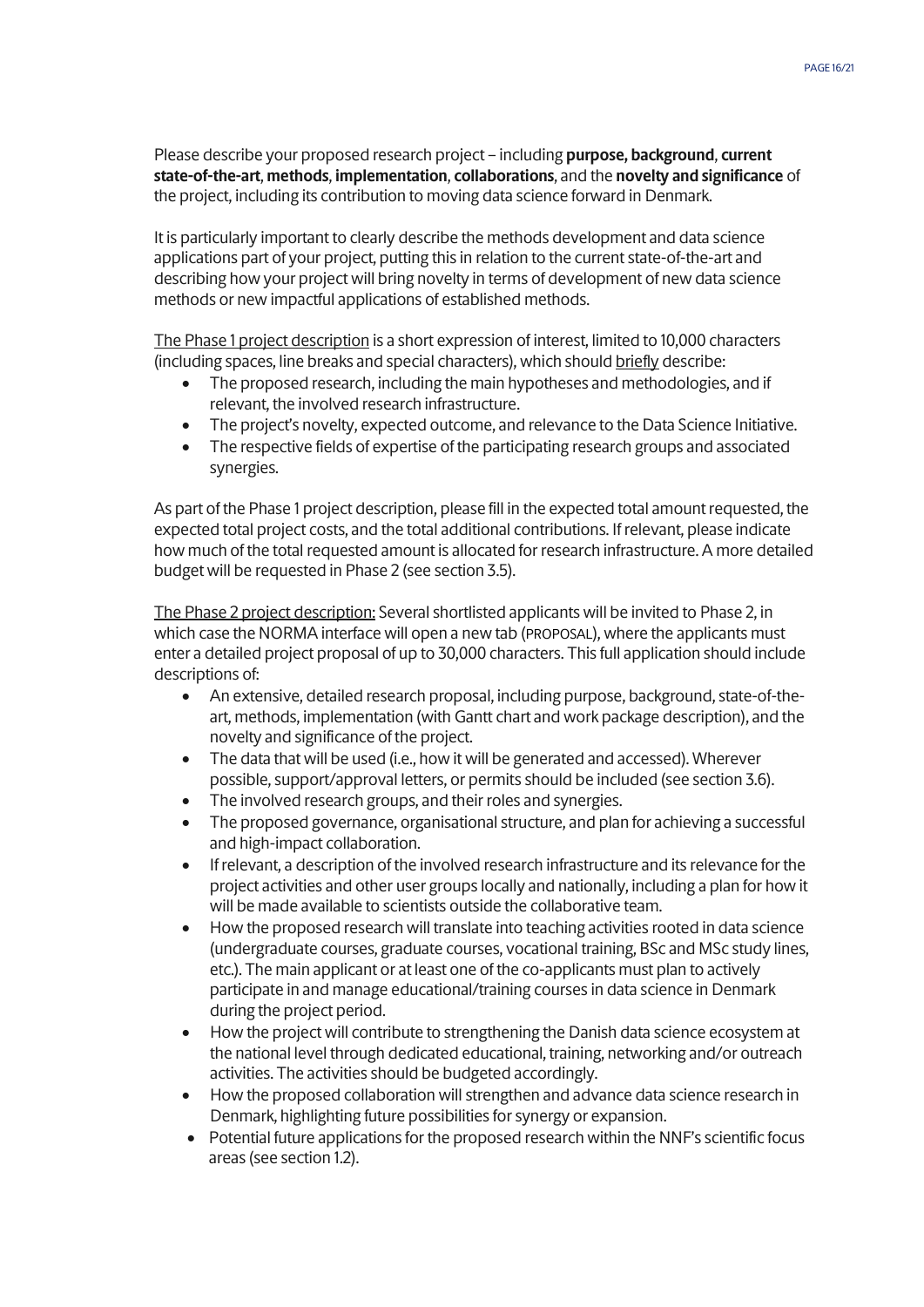Please describe your proposed research project – including **purpose, background**, **current state-of-the-art**, **methods**, **implementation**, **collaborations**, and the **novelty and significance** of the project, including its contribution to moving data science forward in Denmark.

It is particularly important to clearly describe the methods development and data science applications part of your project, putting this in relation to the current state-of-the-art and describing how your project will bring novelty in terms of development of new data science methods or new impactful applications of established methods.

The Phase 1 project description is a short expression of interest, limited to 10,000 characters (including spaces, line breaks and special characters), which should briefly describe:

- The proposed research, including the main hypotheses and methodologies, and if relevant, the involved research infrastructure.
- The project's novelty, expected outcome, and relevance to the Data Science Initiative.
- The respective fields of expertise of the participating research groups and associated synergies.

As part of the Phase 1 project description, please fill in the expected total amount requested, the expected total project costs, and the total additional contributions. If relevant, please indicate how much of the total requested amount is allocated for research infrastructure. A more detailed budget will be requested in Phase 2 (see section 3.5).

The Phase 2 project description: Several shortlisted applicants will be invited to Phase 2, in which case the NORMA interface will open a new tab (PROPOSAL), where the applicants must enter a detailed project proposal of up to 30,000 characters. This full application should include descriptions of:

- An extensive, detailed research proposal, including purpose, background, state-of-theart, methods, implementation (with Gantt chart and work package description), and the novelty and significance of the project.
- The data that will be used (i.e., how it will be generated and accessed). Wherever possible, support/approval letters, or permits should be included (see section 3.6).
- The involved research groups, and their roles and synergies.
- The proposed governance, organisational structure, and plan for achieving a successful and high-impact collaboration.
- If relevant, a description of the involved research infrastructure and its relevance for the project activities and other user groups locally and nationally, including a plan for how it will be made available to scientists outside the collaborative team.
- How the proposed research will translate into teaching activities rooted in data science (undergraduate courses, graduate courses, vocational training, BSc and MSc study lines, etc.). The main applicant or at least one of the co-applicants must plan to actively participate in and manage educational/training courses in data science in Denmark during the project period.
- How the project will contribute to strengthening the Danish data science ecosystem at the national level through dedicated educational, training, networking and/or outreach activities. The activities should be budgeted accordingly.
- How the proposed collaboration will strengthen and advance data science research in Denmark, highlighting future possibilities for synergy or expansion.
- Potential future applications for the proposed research within the NNF's scientific focus areas (see section 1.2).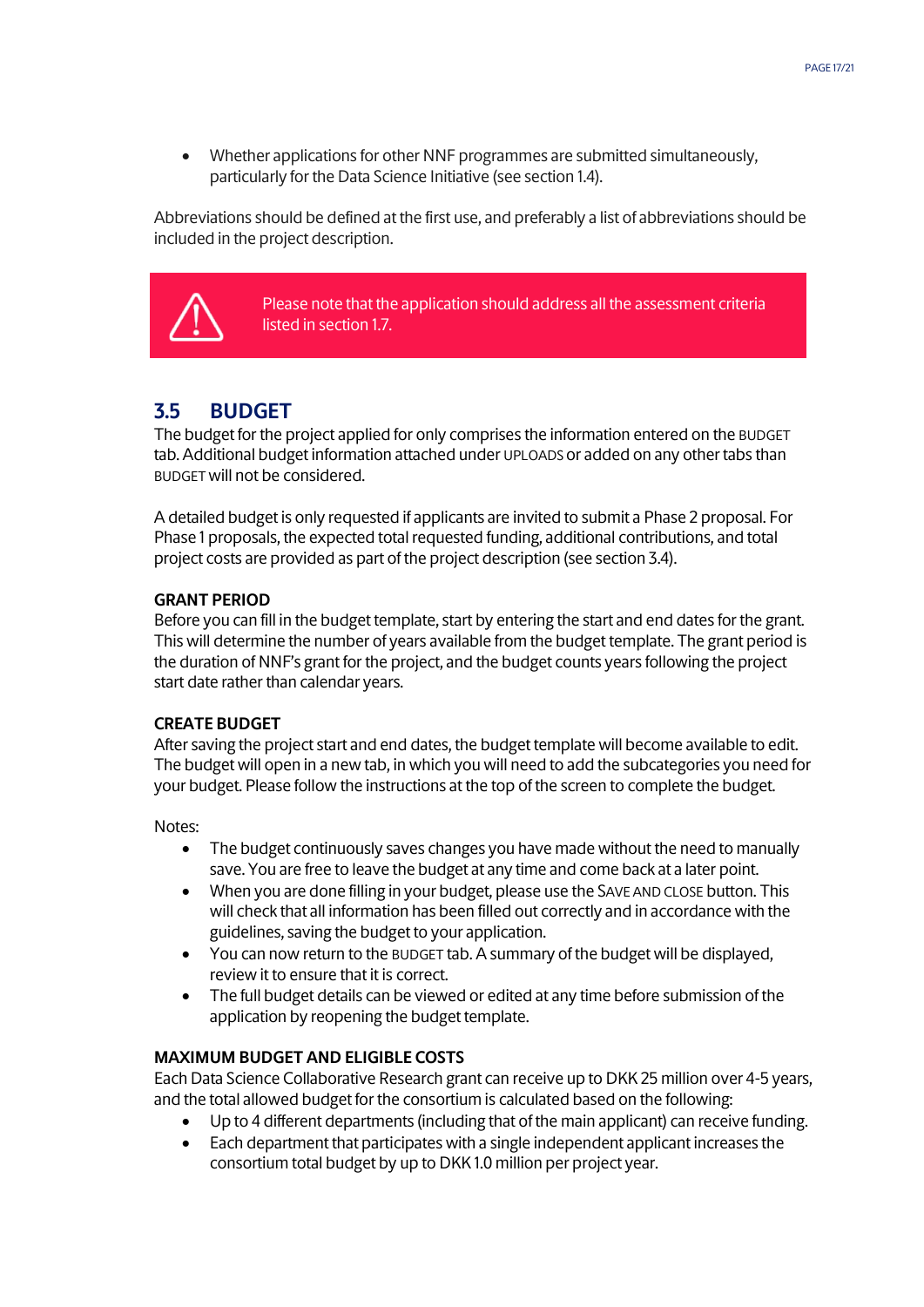• Whether applications for other NNF programmes are submitted simultaneously, particularly for the Data Science Initiative (see section 1.4).

Abbreviations should be defined at the first use, and preferably a list of abbreviations should be included in the project description.



Please note that the application should address all the assessment criteria listed in section 1.7.

## <span id="page-16-0"></span>**3.5 BUDGET**

The budget for the project applied for only comprises the information entered on the BUDGET tab. Additional budget information attached under UPLOADS or added on any other tabs than BUDGET will not be considered.

A detailed budget is only requested if applicants are invited to submit a Phase 2 proposal. For Phase 1 proposals, the expected total requested funding, additional contributions, and total project costs are provided as part of the project description (see section 3.4).

#### **GRANT PERIOD**

Before you can fill in the budget template, start by entering the start and end dates for the grant. This will determine the number of years available from the budget template. The grant period is the duration of NNF's grant for the project, and the budget counts years following the project start date rather than calendar years.

#### **CREATE BUDGET**

After saving the project start and end dates, the budget template will become available to edit. The budget will open in a new tab, in which you will need to add the subcategories you need for your budget. Please follow the instructions at the top of the screen to complete the budget.

Notes:

- The budget continuously saves changes you have made without the need to manually save. You are free to leave the budget at any time and come back at a later point.
- When you are done filling in your budget, please use the SAVE AND CLOSE button. This will check that all information has been filled out correctly and in accordance with the guidelines, saving the budget to your application.
- You can now return to the BUDGET tab. A summary of the budget will be displayed, review it to ensure that it is correct.
- The full budget details can be viewed or edited at any time before submission of the application by reopening the budget template.

#### **MAXIMUM BUDGET AND ELIGIBLE COSTS**

Each Data Science Collaborative Research grant can receive up to DKK 25 million over 4-5 years, and the total allowed budget for the consortium is calculated based on the following:

- Up to 4 different departments (including that of the main applicant) can receive funding.
- Each department that participates with a single independent applicant increases the consortium total budget by up to DKK 1.0 million per project year.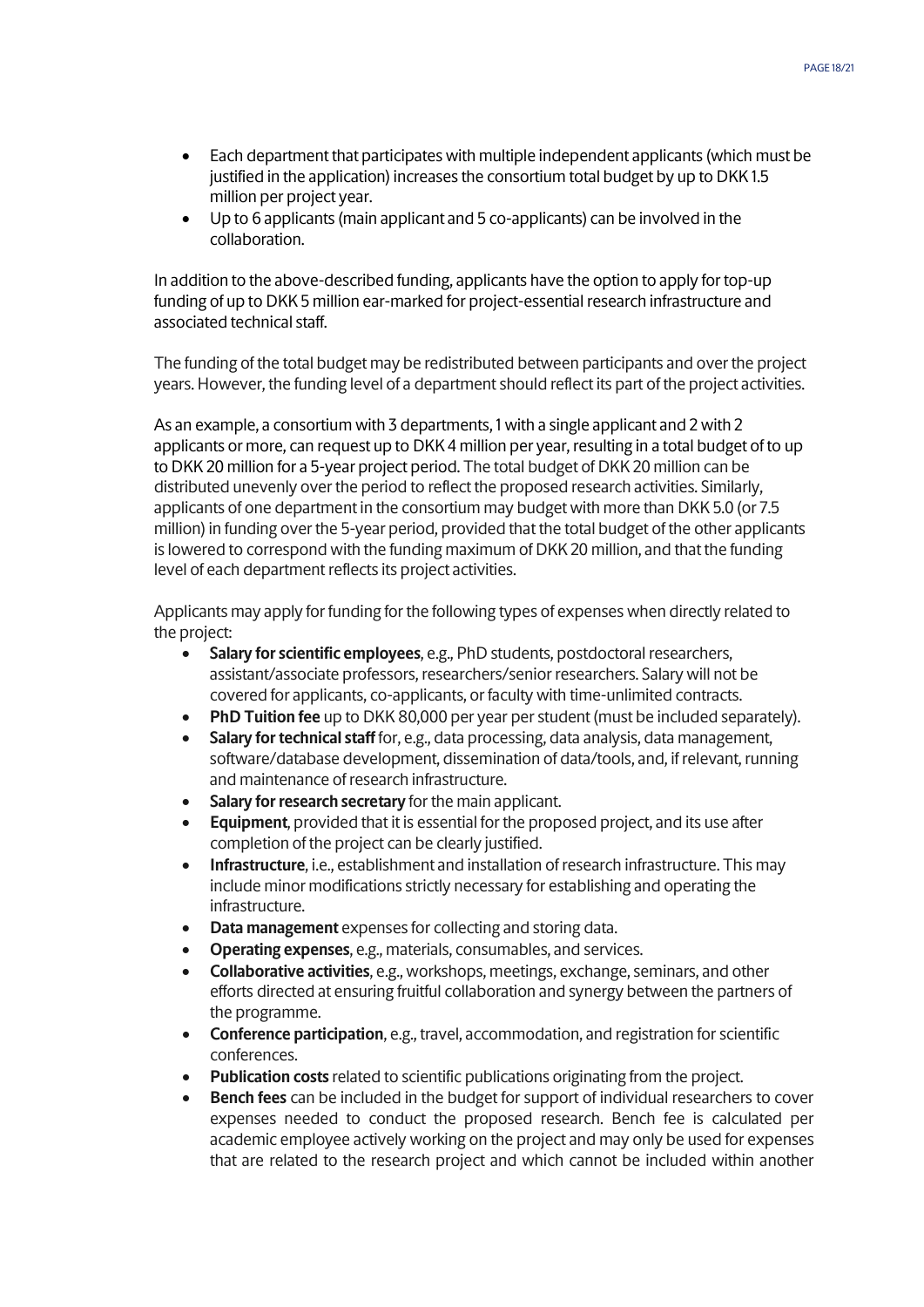- Each department that participates with multiple independent applicants (which must be justified in the application) increases the consortium total budget by up to DKK 1.5 million per project year.
- Up to 6 applicants (main applicant and 5 co-applicants) can be involved in the collaboration.

In addition to the above-described funding, applicants have the option to apply for top-up funding of up to DKK 5 million ear-marked for project-essential research infrastructure and associated technical staff.

The funding of the total budget may be redistributed between participants and over the project years. However, the funding level of a department should reflect its part of the project activities.

As an example, a consortium with 3 departments, 1 with a single applicant and 2 with 2 applicants or more, can request up to DKK 4 million per year, resulting in a total budget of to up to DKK 20 million for a 5-year project period. The total budget of DKK 20 million can be distributed unevenly over the period to reflect the proposed research activities. Similarly, applicants of one department in the consortium may budget with more than DKK 5.0 (or 7.5 million) in funding over the 5-year period, provided that the total budget of the other applicants is lowered to correspond with the funding maximum of DKK 20 million, and that the funding level of each department reflects its project activities.

Applicants may apply for funding for the following types of expenses when directly related to the project:

- **Salary for scientific employees**, e.g., PhD students, postdoctoral researchers, assistant/associate professors, researchers/senior researchers. Salary will not be covered for applicants, co-applicants, or faculty with time-unlimited contracts.
- **PhD Tuition fee** up to DKK 80,000 per year per student (must be included separately).
- **Salary for technical staff** for, e.g., data processing, data analysis, data management, software/database development, dissemination of data/tools, and, if relevant, running and maintenance of research infrastructure.
- **Salary for research secretary** for the main applicant.
- **Equipment**, provided that it is essential for the proposed project, and its use after completion of the project can be clearly justified.
- **Infrastructure**, i.e., establishment and installation of research infrastructure. This may include minor modifications strictly necessary for establishing and operating the infrastructure.
- **Data management** expenses for collecting and storing data.
- **Operating expenses**, e.g., materials, consumables, and services.
- **Collaborative activities**, e.g., workshops, meetings, exchange, seminars, and other efforts directed at ensuring fruitful collaboration and synergy between the partners of the programme.
- **Conference participation**, e.g., travel, accommodation, and registration for scientific conferences.
- **Publication costs**related to scientific publications originating from the project.
- **Bench fees** can be included in the budget for support of individual researchers to cover expenses needed to conduct the proposed research. Bench fee is calculated per academic employee actively working on the project and may only be used for expenses that are related to the research project and which cannot be included within another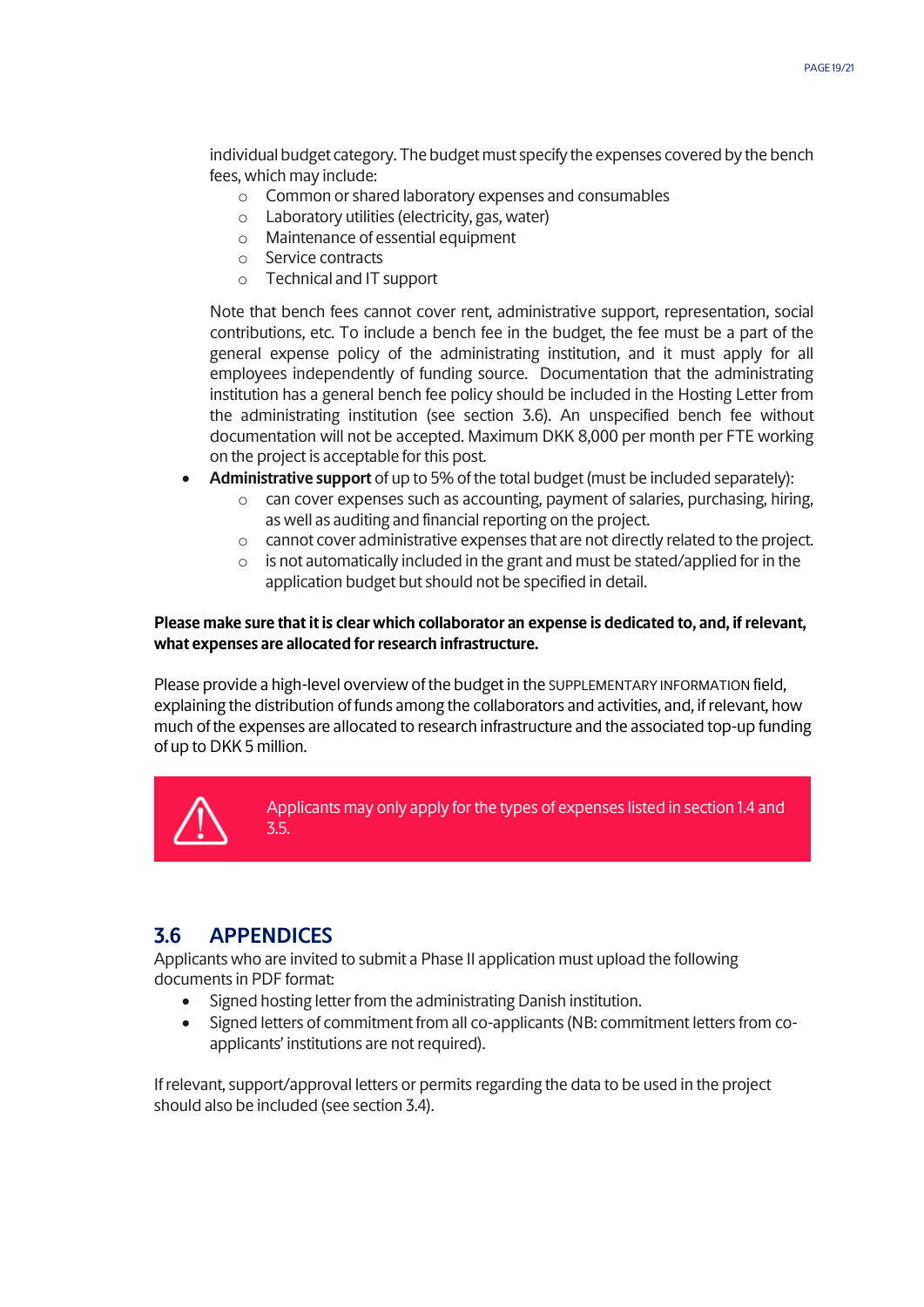individual budget category. The budget must specify the expenses covered by the bench fees, which may include:

- o Common or shared laboratory expenses and consumables
- o Laboratory utilities (electricity, gas, water)
- o Maintenance of essential equipment
- o Service contracts
- o Technical and IT support

Note that bench fees cannot cover rent, administrative support, representation, social contributions, etc. To include a bench fee in the budget, the fee must be a part of the general expense policy of the administrating institution, and it must apply for all employees independently of funding source. Documentation that the administrating institution has a general bench fee policy should be included in the Hosting Letter from the administrating institution (see section 3.6). An unspecified bench fee without documentation will not be accepted. Maximum DKK 8,000 per month per FTE working on the project is acceptable for this post.

- **Administrative support** of up to 5% of the total budget (must be included separately):
	- o can cover expenses such as accounting, payment of salaries, purchasing, hiring, as well as auditing and financial reporting on the project.
	- o cannot cover administrative expenses that are not directly related to the project.
	- o is not automatically included in the grant and must be stated/applied for in the application budget but should not be specified in detail.

#### **Please make sure that it is clear which collaborator an expense is dedicated to, and, if relevant, what expenses are allocated for research infrastructure.**

Please provide a high-level overview of the budget in the SUPPLEMENTARY INFORMATION field, explaining the distribution of funds among the collaborators and activities, and, if relevant, how much of the expenses are allocated to research infrastructure and the associated top-up funding of up to DKK 5 million.



Applicants may only apply for the types of expenses listed in section 1.4 and 3.5.

## <span id="page-18-0"></span>**3.6 APPENDICES**

Applicants who are invited to submit a Phase II application must upload the following documents in PDF format:

- Signed hosting letter from the administrating Danish institution.
- Signed letters of commitment from all co-applicants (NB: commitment letters from coapplicants' institutions are not required).

If relevant, support/approval letters or permits regarding the data to be used in the project should also be included (see section 3.4).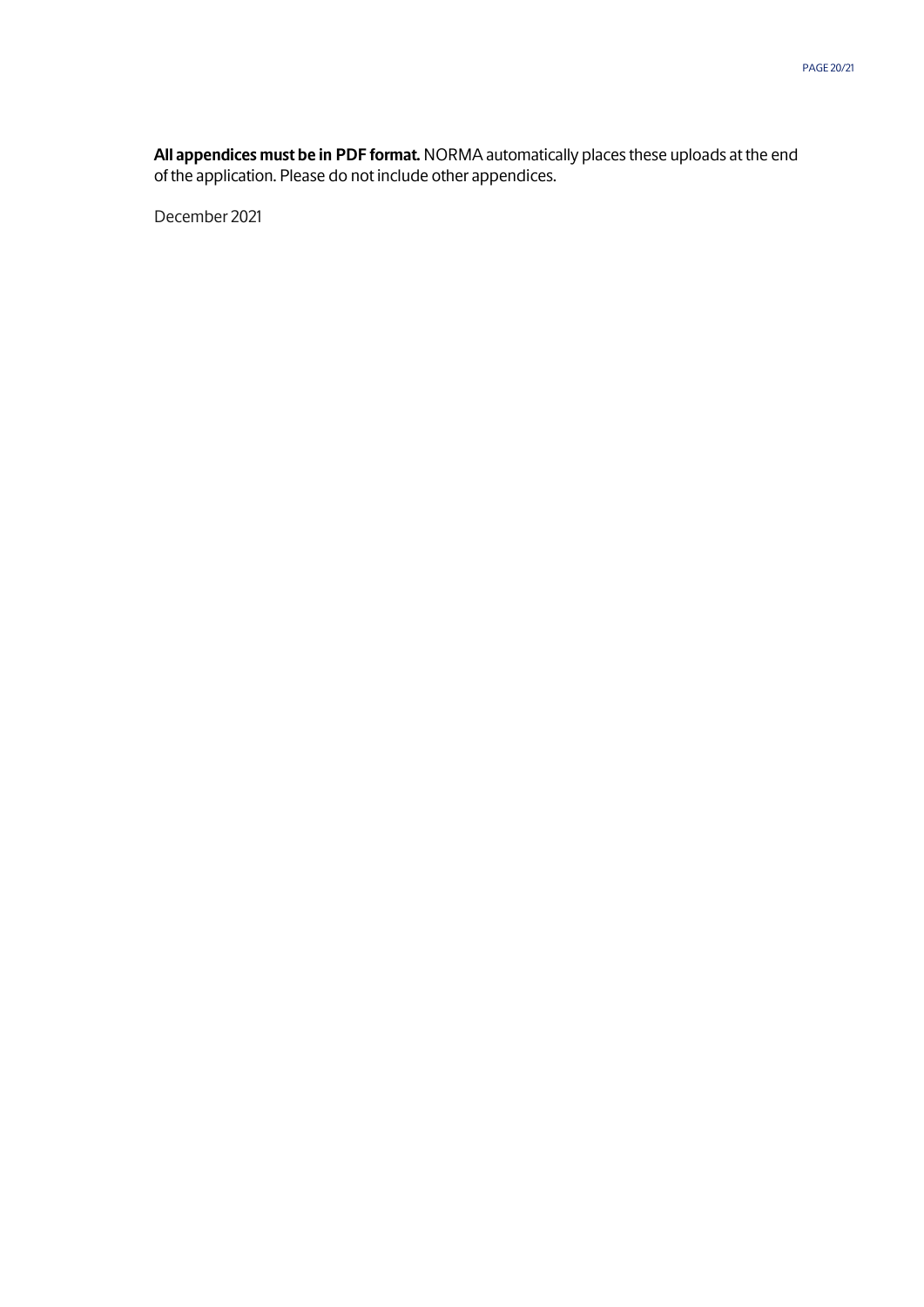**All appendices must be in PDF format.** NORMA automatically places these uploads at the end of the application. Please do not include other appendices.

December 2021